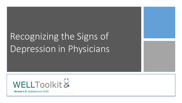# Recognizing the Signs of Depression in Physicians



**Version 1.0**: Updated June 2020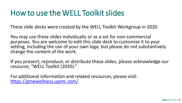# How to use the WELL Toolkit slides

These slide decks were created by the WELL Toolkit Workgroup in 2020.

You may use these slides individually or as a set for non-commercial purposes. You are welcome to edit this slide deck to customize it to your setting, including the use of your own logo, but please do not substantively change the content of the work.

If you present, reproduce, or distribute these slides, please acknowledge our resource, "WELL Toolkit (2020)."

For additional information and related resources, please visit: <https://gmewellness.upmc.com/>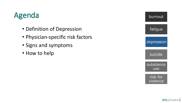# Agenda

- Definition of Depression
- Physician-specific risk factors
- Signs and symptoms
- How to help

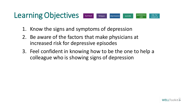#### Learning Objectives substance risk for burnout fatigue depression suicide use violence

- 1. Know the signs and symptoms of depression
- 2. Be aware of the factors that make physicians at increased risk for depressive episodes
- 3. Feel confident in knowing how to be the one to help a colleague who is showing signs of depression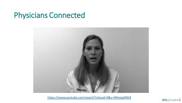# Physicians Connected



<https://www.youtube.com/watch?reload=9&v=Xtfsrqp9XH4>

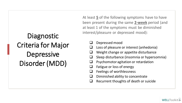Diagnostic Criteria for Major **Depressive** Disorder (MDD)

At least **5** of the following symptoms have to have been present during the same **2-week** period (and at least 1 of the symptoms must be diminished interest/pleasure or depressed mood):

- ❑ Depressed mood
- Loss of pleasure or interest (anhedonia)
- Weight change or appetite disturbance
- ❑ Sleep disturbance (insomnia or hypersomnia)
- ❑ Psychomotor agitation or retardation
- Fatigue or loss of energy
- Feelings of worthlessness
- ❑ Diminished ability to concentrate
- ❑ Recurrent thoughts of death or suicide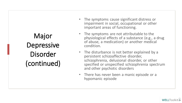Major Depressive Disorder (continued)

- The symptoms cause significant distress or impairment in social, occupational or other important areas of functioning.
- The symptoms are not attributable to the physiological effects of a substance (e.g., a drug of abuse, a medication) or another medical condition.
- The disturbance is not better explained by a persistent schizoaffective disorder, schizophrenia, delusional disorder, or other specified or unspecified schizophrenia spectrum and other psychotic disorders
- There has never been a manic episode or a hypomanic episode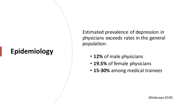# **Epidemiology**

Estimated prevalence of depression in physicians exceeds rates in the general population:

- **12%** of male physicians
- **19.5%** of female physicians
- **15-30%** among medical trainees

(Medscape 2018)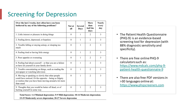### Screening for Depression

| Over the last 2 weeks, how often have you been<br>bothered by any of the following problems?                                                                                         | Not at<br>all  | <b>Several</b><br>Days | More<br>than<br>half the<br>days | <b>Nearly</b><br>every<br>day |
|--------------------------------------------------------------------------------------------------------------------------------------------------------------------------------------|----------------|------------------------|----------------------------------|-------------------------------|
| 1. Little interest or pleasure in doing things                                                                                                                                       | $\theta$       | 1                      | $\mathbf{2}$                     | 3                             |
| 2. Feeling down, depressed, or hopeless                                                                                                                                              | $\theta$       | 1                      | 2                                | 3                             |
| 3. Trouble falling or staying asleep, or sleeping too<br>much                                                                                                                        | $\theta$       | 1                      | $\overline{2}$                   | 3                             |
| 4. Feeling tired or having little energy                                                                                                                                             | $\overline{0}$ | 1                      | $\overline{2}$                   | 3                             |
| 5. Poor appetite or overeating                                                                                                                                                       | $\theta$       | 1                      | $\overline{2}$                   | 3                             |
| 6. Feeling bad about yourself $-$ or that you are a failure<br>or have let yourself or your family down                                                                              | $\theta$       | 1                      | $\overline{2}$                   | 3                             |
| 7. Trouble concentrating on things, such as reading the<br>newspaper or watching television                                                                                          | $\theta$       | 1                      | $\overline{2}$                   | 3                             |
| 8. Moving or speaking so slowly that other people<br>could have noticed. Or the opposite - being so fidgety<br>or restless that you have been moving around a lot more<br>than usual | $\theta$       | 1                      | $\overline{c}$                   | 3                             |
| 9. Thoughts that you would be better off dead, or of<br>hurting yourself in some way                                                                                                 | $\theta$       | 1                      | $\overline{c}$                   | 3                             |

Total Score: 1-4 Minimal depression; 5-9 Mild depression; 10-14 Moderate depression;

15-19 Moderately severe depression; 20-27 Severe depression

- The Patient Health Questionnaire (PHQ-9) is an evidence-based screening tool for depression (with 88% diagnostic sensitivity and specificity).
- There are free online PHQ-9 calculators such as: [https://www.mdcalc.com/phq-9](https://www.mdcalc.com/phq-9-patient-health-questionnaire-9) patient-health-questionnaire-9
- There are also free PDF versions in >30 languages online at: [https://www.phqscreeners.com](https://www.phqscreeners.com/)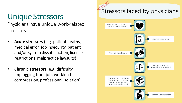# Unique Stressors

Physicians have unique work-related stressors:

- **Acute stressors** (e.g. patient deaths, medical error, job insecurity, patient and/or system dissatisfaction, license restrictions, malpractice lawsuits)
- **Chronic stressors** (e.g. difficulty unplugging from job, workload compression, professional isolation)

# Stressors faced by physicians Relationship problems<br>or domestic violence License restriction **Financial problems** Being named as defendant in a lawsuit General job problems (concerns about job security, increased work demands, etc.) Professional isolation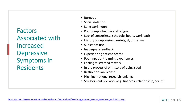Factors Associated with Increased **Depressive** Symptoms in Residents

- Burnout
- Social isolation
- Long work hours
- Poor sleep schedule and fatigue
- Lack of control (e.g. schedule, hours, workload)
- History of depression, anxiety, SI, or trauma
- Substance use
- Inadequate feedback
- Experiencing patient deaths
- Poor inpatient learning experiences
- Feeling mistreated at work
- In the process of or history of being sued
- Restrictions on license
- High institutional research rankings
- Stressors outside work (e.g. finances, relationship, health)

WELLToolkit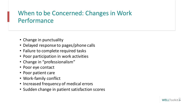### When to be Concerned: Changes in Work Performance

- Change in punctuality
- Delayed response to pages/phone calls
- Failure to complete required tasks
- Poor participation in work activities
- Change in "professionalism"
- Poor eye contact
- Poor patient care
- Work-family conflict
- Increased frequency of medical errors
- Sudden change in patient satisfaction scores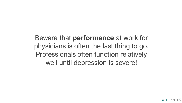Beware that **performance** at work for physicians is often the last thing to go. Professionals often function relatively well until depression is severe!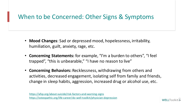### When to be Concerned: Other Signs & Symptoms

- **Mood Changes**: Sad or depressed mood, hopelessness, irritability, humiliation, guilt, anxiety, rage, etc.
- **Concerning Statements:** for example, "I'm a burden to others", "I feel trapped", "this is unbearable," "I have no reason to live"
- **Concerning Behaviors:** Recklessness, withdrawing from others and activities, decreased engagement, isolating self from family and friends, change in sleep habits, aggression, increased drug or alcohol use, etc.

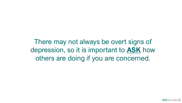There may not always be overt signs of depression, so it is important to **ASK** how others are doing if you are concerned.

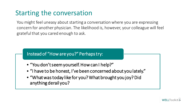### Starting the conversation

You might feel uneasy about starting a conversation where you are expressing concern for another physician. The likelihood is, however, your colleague will feel grateful that you cared enough to ask.

#### Instead of "How are you?" Perhaps try:

- "You don't seem yourself. How can I help?"
- "I have to be honest, I've been concerned about you lately."
- "What was today like for you? What brought you joy? Did anything derail you?

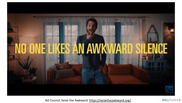

Ad Council. Seize the Awkward.<https://seizetheawkward.org/>

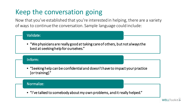## Keep the conversation going

Now that you've established that you're interested in helping, there are a variety of ways to continue the conversation. Sample language could include:

### • "We physicians are really good at taking care of others, but not always the best at seeking help for ourselves." Validate:

#### Inform:

• "Seeking help can be confidential and doesn't have to impact your practice [or training]."

#### Normalize:

• "I've talked to somebody about my own problems, and it really helped."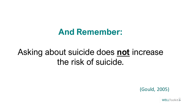# **And Remember:**

# Asking about suicide does **not** increase the risk of suicide.

(Gould, 2005)

WELLToolkit&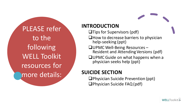PLEASE refer to the following WELL Toolkit resources for more details:

#### **INTRODUCTION**

- ❑Tips for Supervisors (pdf)
- ❑How to decrease barriers to physician help-seeking (ppt)
- ❑UPMC Well-Being Resources Resident and Attending Versions (pdf)
- ❑UPMC Guide on what happens when a physician seeks help (ppt)

#### **SUICIDE SECTION**

❑Physician Suicide Prevention (ppt) ❑Physician Suicide FAQ (pdf)